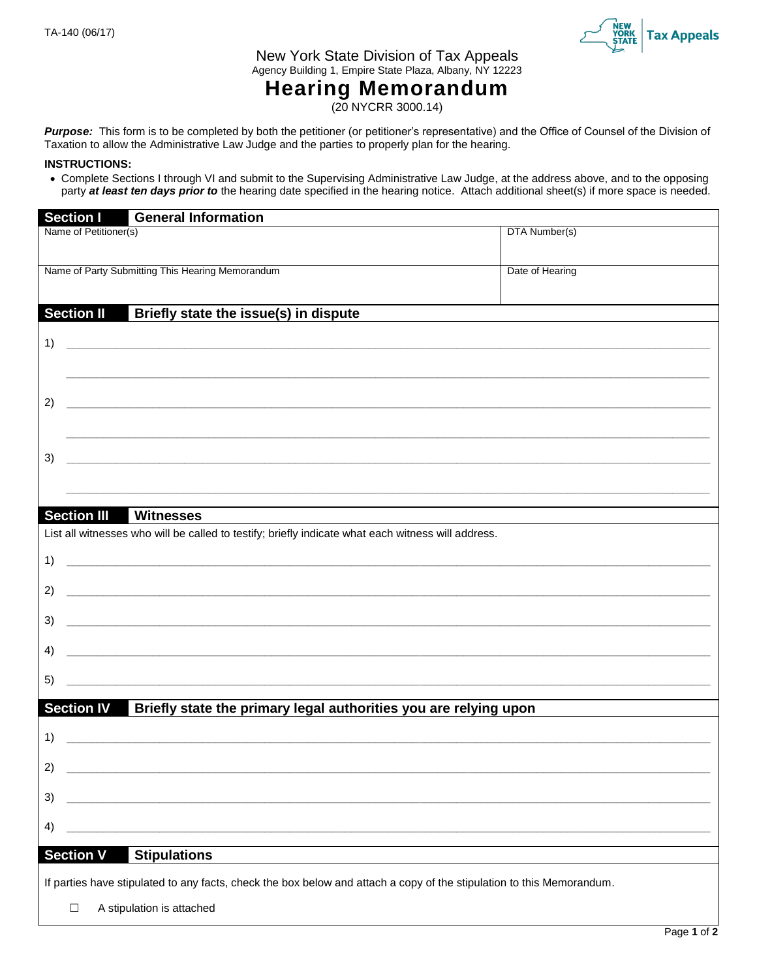

New York State Division of Tax Appeals Agency Building 1, Empire State Plaza, Albany, NY 12223

## **Hearing Memorandum**

(20 NYCRR 3000.14)

Purpose: This form is to be completed by both the petitioner (or petitioner's representative) and the Office of Counsel of the Division of Taxation to allow the Administrative Law Judge and the parties to properly plan for the hearing.

## **INSTRUCTIONS:**

 Complete Sections I through VI and submit to the Supervising Administrative Law Judge, at the address above, and to the opposing party *at least ten days prior to* the hearing date specified in the hearing notice. Attach additional sheet(s) if more space is needed.

|                                                                                                                       | <b>Section I</b>                                                            | <b>General Information</b>                                                                                            |                 |  |  |  |
|-----------------------------------------------------------------------------------------------------------------------|-----------------------------------------------------------------------------|-----------------------------------------------------------------------------------------------------------------------|-----------------|--|--|--|
|                                                                                                                       | Name of Petitioner(s)                                                       |                                                                                                                       | DTA Number(s)   |  |  |  |
|                                                                                                                       |                                                                             | Name of Party Submitting This Hearing Memorandum                                                                      | Date of Hearing |  |  |  |
|                                                                                                                       | <b>Section II</b>                                                           | Briefly state the issue(s) in dispute                                                                                 |                 |  |  |  |
|                                                                                                                       |                                                                             |                                                                                                                       |                 |  |  |  |
| 1)                                                                                                                    |                                                                             | <u> 1999 - Jan James James James James James James James James James James James James James James James James J</u>  |                 |  |  |  |
|                                                                                                                       |                                                                             | <u> 1989 - Johann Harry Harry Harry Harry Harry Harry Harry Harry Harry Harry Harry Harry Harry Harry Harry Harry</u> |                 |  |  |  |
| 2)                                                                                                                    |                                                                             | <u> 2000 - Andrea Andrewski, amerikansk politik (d. 1982)</u>                                                         |                 |  |  |  |
|                                                                                                                       |                                                                             |                                                                                                                       |                 |  |  |  |
| 3)                                                                                                                    |                                                                             | <u> 2000 - Jan James James Barnett, amerikan basar pada 2000 - personal personal personal personal personal per</u>   |                 |  |  |  |
|                                                                                                                       |                                                                             |                                                                                                                       |                 |  |  |  |
|                                                                                                                       |                                                                             | <b>Section III Witnesses</b>                                                                                          |                 |  |  |  |
|                                                                                                                       |                                                                             | List all witnesses who will be called to testify; briefly indicate what each witness will address.                    |                 |  |  |  |
| 1)                                                                                                                    |                                                                             | <u> 2000 - Jan James James James James James James James James James James James James James James James James J</u>  |                 |  |  |  |
| 2)                                                                                                                    |                                                                             | <u> Alexandria de la contrada de la contrada de la contrada de la contrada de la contrada de la contrada de la c</u>  |                 |  |  |  |
| 3)                                                                                                                    |                                                                             |                                                                                                                       |                 |  |  |  |
| 4)                                                                                                                    |                                                                             |                                                                                                                       |                 |  |  |  |
| 5)                                                                                                                    |                                                                             | <u> 1989 - Jan James James James James James James James James James James James James James James James James</u>    |                 |  |  |  |
|                                                                                                                       | Section IV Briefly state the primary legal authorities you are relying upon |                                                                                                                       |                 |  |  |  |
| 1)                                                                                                                    |                                                                             |                                                                                                                       |                 |  |  |  |
| 2)                                                                                                                    |                                                                             |                                                                                                                       |                 |  |  |  |
| 3)                                                                                                                    |                                                                             |                                                                                                                       |                 |  |  |  |
| 4)                                                                                                                    |                                                                             |                                                                                                                       |                 |  |  |  |
|                                                                                                                       |                                                                             |                                                                                                                       |                 |  |  |  |
| <b>Section V</b><br><b>Stipulations</b>                                                                               |                                                                             |                                                                                                                       |                 |  |  |  |
| If parties have stipulated to any facts, check the box below and attach a copy of the stipulation to this Memorandum. |                                                                             |                                                                                                                       |                 |  |  |  |
|                                                                                                                       | A stipulation is attached<br>$\Box$                                         |                                                                                                                       |                 |  |  |  |